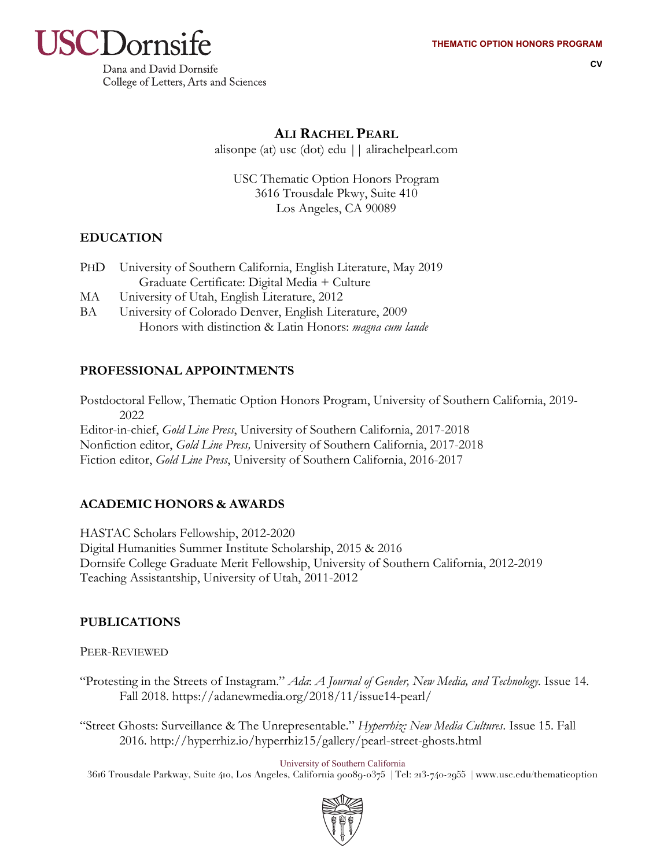

**CV**

Dana and David Dornsife College of Letters, Arts and Sciences

## **ALI RACHEL PEARL**

alisonpe (at) usc (dot) edu || alirachelpearl.com

USC Thematic Option Honors Program 3616 Trousdale Pkwy, Suite 410 Los Angeles, CA 90089

## **EDUCATION**

- PHD University of Southern California, English Literature, May 2019 Graduate Certificate: Digital Media + Culture
- MA University of Utah, English Literature, 2012
- BA University of Colorado Denver, English Literature, 2009 Honors with distinction & Latin Honors: *magna cum laude*

## **PROFESSIONAL APPOINTMENTS**

Postdoctoral Fellow, Thematic Option Honors Program, University of Southern California, 2019- 2022 Editor-in-chief, *Gold Line Press*, University of Southern California, 2017-2018 Nonfiction editor, *Gold Line Press,* University of Southern California, 2017-2018 Fiction editor, *Gold Line Press*, University of Southern California, 2016-2017

# **ACADEMIC HONORS & AWARDS**

HASTAC Scholars Fellowship, 2012-2020 Digital Humanities Summer Institute Scholarship, 2015 & 2016 Dornsife College Graduate Merit Fellowship, University of Southern California, 2012-2019 Teaching Assistantship, University of Utah, 2011-2012

# **PUBLICATIONS**

PEER-REVIEWED

"Protesting in the Streets of Instagram." *Ada*: *A Journal of Gender, New Media, and Technology.* Issue 14. Fall 2018. https://adanewmedia.org/2018/11/issue14-pearl/

"Street Ghosts: Surveillance & The Unrepresentable." *Hyperrhiz: New Media Cultures*. Issue 15. Fall 2016. http://hyperrhiz.io/hyperrhiz15/gallery/pearl-street-ghosts.html

University of Southern California

3616 Trousdale Parkway, Suite 410, Los Angeles, California 90089-0375 | Tel: 213-740-2955 | www.usc.edu/thematicoption

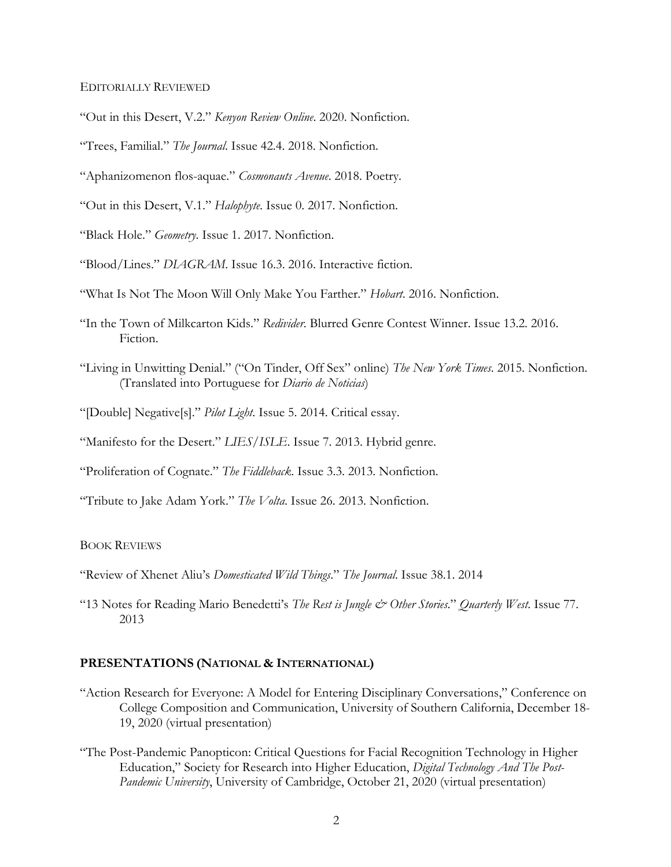EDITORIALLY REVIEWED

"Out in this Desert, V.2." *Kenyon Review Online*. 2020. Nonfiction.

"Trees, Familial." *The Journal*. Issue 42.4. 2018. Nonfiction.

"Aphanizomenon flos-aquae." *Cosmonauts Avenue*. 2018. Poetry.

"Out in this Desert, V.1." *Halophyte*. Issue 0. 2017. Nonfiction.

"Black Hole." *Geometry*. Issue 1. 2017. Nonfiction.

"Blood/Lines." *DIAGRAM*. Issue 16.3. 2016. Interactive fiction.

"What Is Not The Moon Will Only Make You Farther." *Hobart*. 2016. Nonfiction.

- "In the Town of Milkcarton Kids." *Redivider*. Blurred Genre Contest Winner. Issue 13.2. 2016. Fiction.
- "Living in Unwitting Denial." ("On Tinder, Off Sex" online) *The New York Times*. 2015. Nonfiction. (Translated into Portuguese for *Diario de Noticias*)
- "[Double] Negative[s]." *Pilot Light*. Issue 5. 2014. Critical essay.
- "Manifesto for the Desert." LIES/ISLE. Issue 7. 2013. Hybrid genre.
- "Proliferation of Cognate." *The Fiddleback*. Issue 3.3. 2013. Nonfiction.

"Tribute to Jake Adam York." *The Volta*. Issue 26. 2013. Nonfiction.

#### BOOK REVIEWS

"Review of Xhenet Aliu's *Domesticated Wild Things*." *The Journal*. Issue 38.1. 2014

"13 Notes for Reading Mario Benedetti's *The Rest is Jungle & Other Stories*." *Quarterly West*. Issue 77. 2013

### **PRESENTATIONS (NATIONAL & INTERNATIONAL)**

- "Action Research for Everyone: A Model for Entering Disciplinary Conversations," Conference on College Composition and Communication, University of Southern California, December 18- 19, 2020 (virtual presentation)
- "The Post-Pandemic Panopticon: Critical Questions for Facial Recognition Technology in Higher Education," Society for Research into Higher Education, *Digital Technology And The Post-Pandemic University*, University of Cambridge, October 21, 2020 (virtual presentation)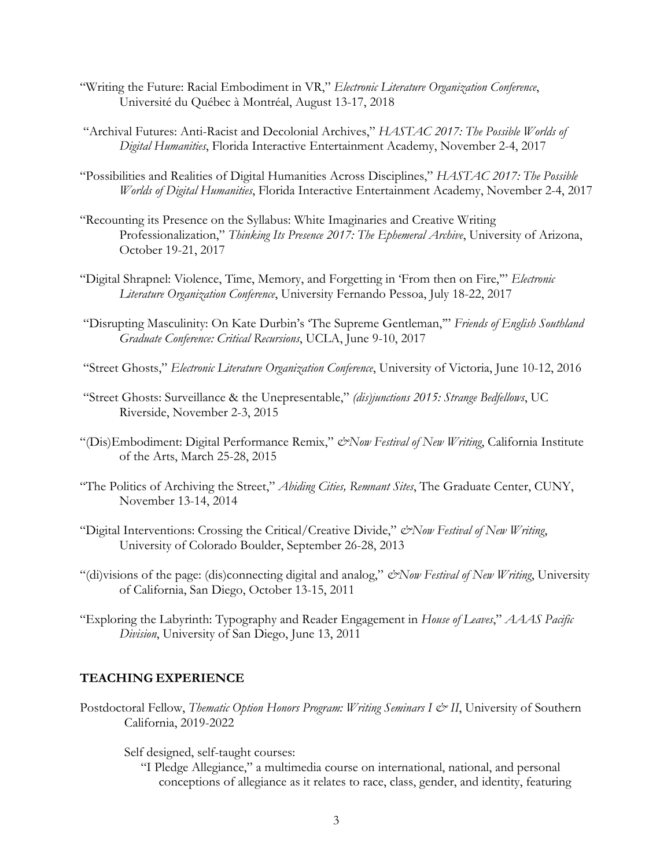- "Writing the Future: Racial Embodiment in VR," *Electronic Literature Organization Conference*, Université du Québec à Montréal, August 13-17, 2018
- "Archival Futures: Anti-Racist and Decolonial Archives," *HASTAC 2017: The Possible Worlds of Digital Humanities*, Florida Interactive Entertainment Academy, November 2-4, 2017
- "Possibilities and Realities of Digital Humanities Across Disciplines," *HASTAC 2017: The Possible Worlds of Digital Humanities*, Florida Interactive Entertainment Academy, November 2-4, 2017
- "Recounting its Presence on the Syllabus: White Imaginaries and Creative Writing Professionalization," *Thinking Its Presence 2017: The Ephemeral Archive*, University of Arizona, October 19-21, 2017
- "Digital Shrapnel: Violence, Time, Memory, and Forgetting in 'From then on Fire,'" *Electronic Literature Organization Conference*, University Fernando Pessoa, July 18-22, 2017
- "Disrupting Masculinity: On Kate Durbin's 'The Supreme Gentleman,'" *Friends of English Southland Graduate Conference: Critical Recursions*, UCLA, June 9-10, 2017
- "Street Ghosts," *Electronic Literature Organization Conference*, University of Victoria, June 10-12, 2016
- "Street Ghosts: Surveillance & the Unepresentable," *(dis)junctions 2015: Strange Bedfellows*, UC Riverside, November 2-3, 2015
- "(Dis)Embodiment: Digital Performance Remix," *&Now Festival of New Writing*, California Institute of the Arts, March 25-28, 2015
- "The Politics of Archiving the Street," *Abiding Cities, Remnant Sites*, The Graduate Center, CUNY, November 13-14, 2014
- "Digital Interventions: Crossing the Critical/Creative Divide," *&Now Festival of New Writing*, University of Colorado Boulder, September 26-28, 2013
- "(di)visions of the page: (dis)connecting digital and analog," *&Now Festival of New Writing*, University of California, San Diego, October 13-15, 2011
- "Exploring the Labyrinth: Typography and Reader Engagement in *House of Leaves*," *AAAS Pacific Division*, University of San Diego, June 13, 2011

### **TEACHING EXPERIENCE**

- Postdoctoral Fellow, *Thematic Option Honors Program: Writing Seminars I & II*, University of Southern California, 2019-2022
	- Self designed, self-taught courses:
		- "I Pledge Allegiance," a multimedia course on international, national, and personal conceptions of allegiance as it relates to race, class, gender, and identity, featuring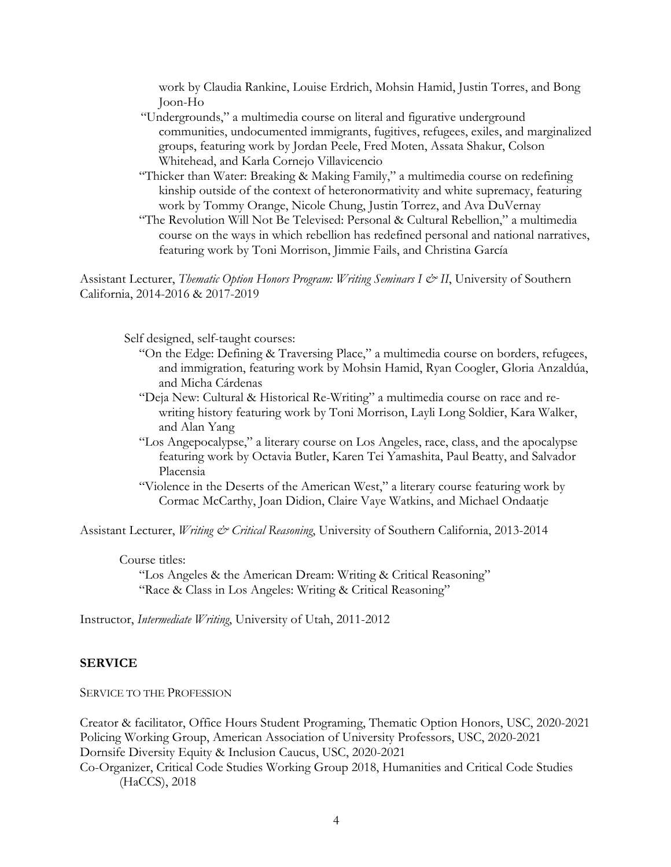work by Claudia Rankine, Louise Erdrich, Mohsin Hamid, Justin Torres, and Bong Joon-Ho

- "Undergrounds," a multimedia course on literal and figurative underground communities, undocumented immigrants, fugitives, refugees, exiles, and marginalized groups, featuring work by Jordan Peele, Fred Moten, Assata Shakur, Colson Whitehead, and Karla Cornejo Villavicencio
- "Thicker than Water: Breaking & Making Family," a multimedia course on redefining kinship outside of the context of heteronormativity and white supremacy, featuring work by Tommy Orange, Nicole Chung, Justin Torrez, and Ava DuVernay
- "The Revolution Will Not Be Televised: Personal & Cultural Rebellion," a multimedia course on the ways in which rebellion has redefined personal and national narratives, featuring work by Toni Morrison, Jimmie Fails, and Christina García

Assistant Lecturer, *Thematic Option Honors Program: Writing Seminars I & II*, University of Southern California, 2014-2016 & 2017-2019

Self designed, self-taught courses:

- "On the Edge: Defining & Traversing Place," a multimedia course on borders, refugees, and immigration, featuring work by Mohsin Hamid, Ryan Coogler, Gloria Anzaldúa, and Micha Cárdenas
- "Deja New: Cultural & Historical Re-Writing" a multimedia course on race and rewriting history featuring work by Toni Morrison, Layli Long Soldier, Kara Walker, and Alan Yang
- "Los Angepocalypse," a literary course on Los Angeles, race, class, and the apocalypse featuring work by Octavia Butler, Karen Tei Yamashita, Paul Beatty, and Salvador Placensia
- "Violence in the Deserts of the American West," a literary course featuring work by Cormac McCarthy, Joan Didion, Claire Vaye Watkins, and Michael Ondaatje

Assistant Lecturer, *Writing & Critical Reasoning*, University of Southern California, 2013-2014

#### Course titles:

"Los Angeles & the American Dream: Writing & Critical Reasoning" "Race & Class in Los Angeles: Writing & Critical Reasoning"

Instructor, *Intermediate Writing*, University of Utah, 2011-2012

### **SERVICE**

SERVICE TO THE PROFESSION

Creator & facilitator, Office Hours Student Programing, Thematic Option Honors, USC, 2020-2021 Policing Working Group, American Association of University Professors, USC, 2020-2021 Dornsife Diversity Equity & Inclusion Caucus, USC, 2020-2021 Co-Organizer, Critical Code Studies Working Group 2018, Humanities and Critical Code Studies (HaCCS), 2018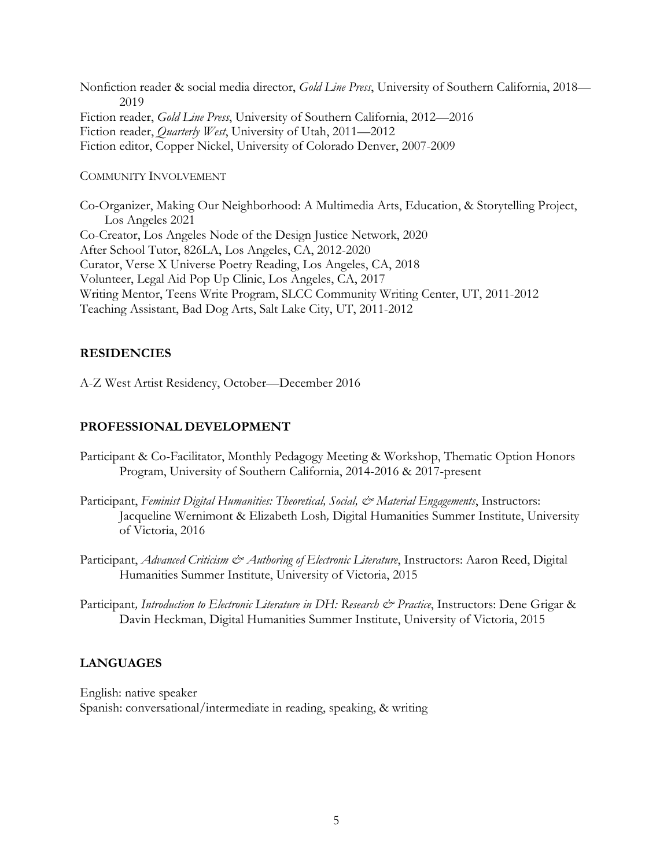Nonfiction reader & social media director, *Gold Line Press*, University of Southern California, 2018— 2019 Fiction reader, *Gold Line Press*, University of Southern California, 2012—2016 Fiction reader, *Quarterly West*, University of Utah, 2011—2012 Fiction editor, Copper Nickel, University of Colorado Denver, 2007-2009

### COMMUNITY INVOLVEMENT

Co-Organizer, Making Our Neighborhood: A Multimedia Arts, Education, & Storytelling Project, Los Angeles 2021 Co-Creator, Los Angeles Node of the Design Justice Network, 2020 After School Tutor, 826LA, Los Angeles, CA, 2012-2020 Curator, Verse X Universe Poetry Reading, Los Angeles, CA, 2018 Volunteer, Legal Aid Pop Up Clinic, Los Angeles, CA, 2017 Writing Mentor, Teens Write Program, SLCC Community Writing Center, UT, 2011-2012 Teaching Assistant, Bad Dog Arts, Salt Lake City, UT, 2011-2012

## **RESIDENCIES**

A-Z West Artist Residency, October—December 2016

## **PROFESSIONAL DEVELOPMENT**

- Participant & Co-Facilitator, Monthly Pedagogy Meeting & Workshop, Thematic Option Honors Program, University of Southern California, 2014-2016 & 2017-present
- Participant, *Feminist Digital Humanities: Theoretical, Social, & Material Engagements*, Instructors: Jacqueline Wernimont & Elizabeth Losh*,* Digital Humanities Summer Institute, University of Victoria, 2016
- Participant, *Advanced Criticism & Authoring of Electronic Literature*, Instructors: Aaron Reed, Digital Humanities Summer Institute, University of Victoria, 2015
- Participant, Introduction to Electronic Literature in DH: Research & Practice, Instructors: Dene Grigar & Davin Heckman, Digital Humanities Summer Institute, University of Victoria, 2015

### **LANGUAGES**

English: native speaker Spanish: conversational/intermediate in reading, speaking, & writing